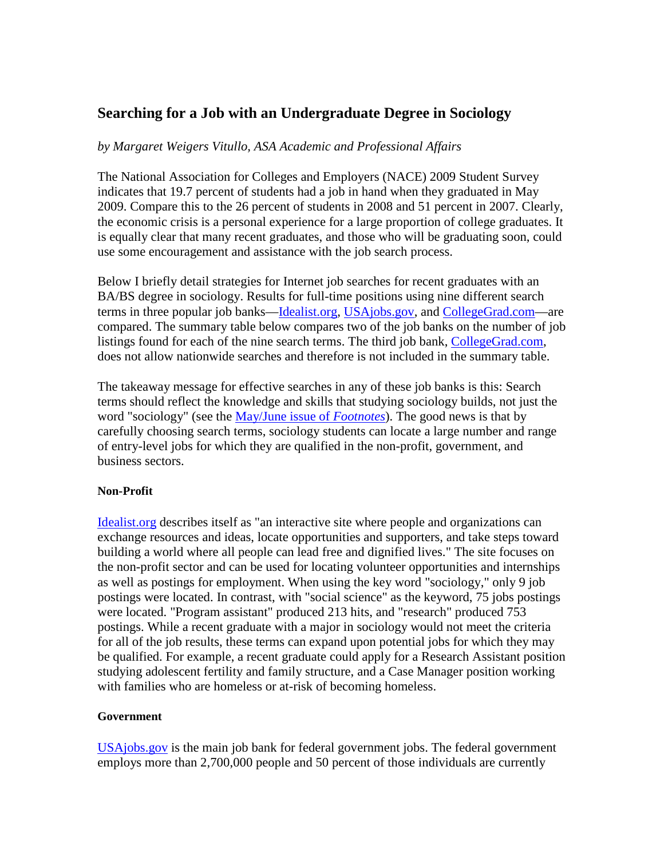# **Searching for a Job with an Undergraduate Degree in Sociology**

## *by Margaret Weigers Vitullo, ASA Academic and Professional Affairs*

The National Association for Colleges and Employers (NACE) 2009 Student Survey indicates that 19.7 percent of students had a job in hand when they graduated in May 2009. Compare this to the 26 percent of students in 2008 and 51 percent in 2007. Clearly, the economic crisis is a personal experience for a large proportion of college graduates. It is equally clear that many recent graduates, and those who will be graduating soon, could use some encouragement and assistance with the job search process.

Below I briefly detail strategies for Internet job searches for recent graduates with an BA/BS degree in sociology. Results for full-time positions using nine different search terms in three popular job banks—Idealist.org, USAjobs.gov, and CollegeGrad.com—are compared. The summary table below compares two of the job banks on the number of job listings found for each of the nine search terms. The third job bank, CollegeGrad.com, does not allow nationwide searches and therefore is not included in the summary table.

The takeaway message for effective searches in any of these job banks is this: Search terms should reflect the knowledge and skills that studying sociology builds, not just the word "sociology" (see the May/June issue of *Footnotes*). The good news is that by carefully choosing search terms, sociology students can locate a large number and range of entry-level jobs for which they are qualified in the non-profit, government, and business sectors.

#### **Non-Profit**

Idealist.org describes itself as "an interactive site where people and organizations can exchange resources and ideas, locate opportunities and supporters, and take steps toward building a world where all people can lead free and dignified lives." The site focuses on the non-profit sector and can be used for locating volunteer opportunities and internships as well as postings for employment. When using the key word "sociology," only 9 job postings were located. In contrast, with "social science" as the keyword, 75 jobs postings were located. "Program assistant" produced 213 hits, and "research" produced 753 postings. While a recent graduate with a major in sociology would not meet the criteria for all of the job results, these terms can expand upon potential jobs for which they may be qualified. For example, a recent graduate could apply for a Research Assistant position studying adolescent fertility and family structure, and a Case Manager position working with families who are homeless or at-risk of becoming homeless.

#### **Government**

USAjobs.gov is the main job bank for federal government jobs. The federal government employs more than 2,700,000 people and 50 percent of those individuals are currently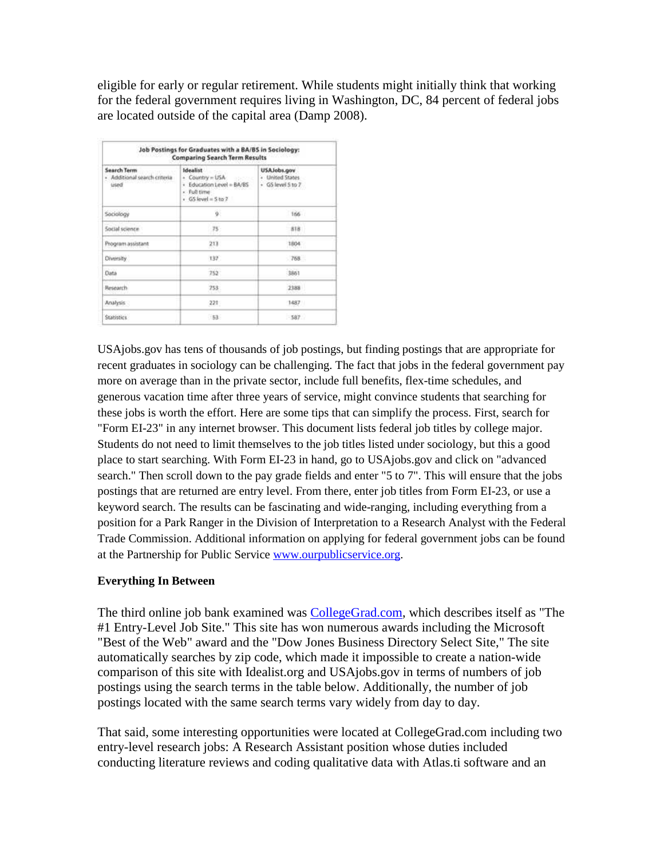eligible for early or regular retirement. While students might initially think that working for the federal government requires living in Washington, DC, 84 percent of federal jobs are located outside of the capital area (Damp 2008).

| Job Postings for Graduates with a BA/BS in Sociology:<br><b>Comparing Search Term Results</b> |                                                                                                                     |                                                     |
|-----------------------------------------------------------------------------------------------|---------------------------------------------------------------------------------------------------------------------|-----------------------------------------------------|
| <b>Search Term</b><br>· Additional search criteria<br>used                                    | <b>Idealist</b><br>$\rightarrow$ Country = USA<br>· Education Level = BA/BS<br>- Full time<br>$+$ GS level = 5 to 2 | USAJobs.gov<br>- United States<br>· GS level 5 to 7 |
| Sociology                                                                                     | ÿ.                                                                                                                  | 166                                                 |
| Social science                                                                                | 75:                                                                                                                 | 318                                                 |
| Program assistant                                                                             | 211                                                                                                                 | 1804                                                |
| <b>Diversity</b>                                                                              | $+37$                                                                                                               | 768                                                 |
| <b>Data</b>                                                                                   | 752                                                                                                                 | 3861                                                |
| Research                                                                                      | 253                                                                                                                 | 2388                                                |
| Analysis                                                                                      | 221                                                                                                                 | 1487                                                |
| <b>Statistics</b>                                                                             | $-53$                                                                                                               | $-587$                                              |

USAjobs.gov has tens of thousands of job postings, but finding postings that are appropriate for recent graduates in sociology can be challenging. The fact that jobs in the federal government pay more on average than in the private sector, include full benefits, flex-time schedules, and generous vacation time after three years of service, might convince students that searching for these jobs is worth the effort. Here are some tips that can simplify the process. First, search for "Form EI-23" in any internet browser. This document lists federal job titles by college major. Students do not need to limit themselves to the job titles listed under sociology, but this a good place to start searching. With Form EI-23 in hand, go to USAjobs.gov and click on "advanced search." Then scroll down to the pay grade fields and enter "5 to 7". This will ensure that the jobs postings that are returned are entry level. From there, enter job titles from Form EI-23, or use a keyword search. The results can be fascinating and wide-ranging, including everything from a position for a Park Ranger in the Division of Interpretation to a Research Analyst with the Federal Trade Commission. Additional information on applying for federal government jobs can be found at the Partnership for Public Service www.ourpublicservice.org.

## **Everything In Between**

The third online job bank examined was **CollegeGrad.com**, which describes itself as "The #1 Entry-Level Job Site." This site has won numerous awards including the Microsoft "Best of the Web" award and the "Dow Jones Business Directory Select Site," The site automatically searches by zip code, which made it impossible to create a nation-wide comparison of this site with Idealist.org and USAjobs.gov in terms of numbers of job postings using the search terms in the table below. Additionally, the number of job postings located with the same search terms vary widely from day to day.

That said, some interesting opportunities were located at CollegeGrad.com including two entry-level research jobs: A Research Assistant position whose duties included conducting literature reviews and coding qualitative data with Atlas.ti software and an